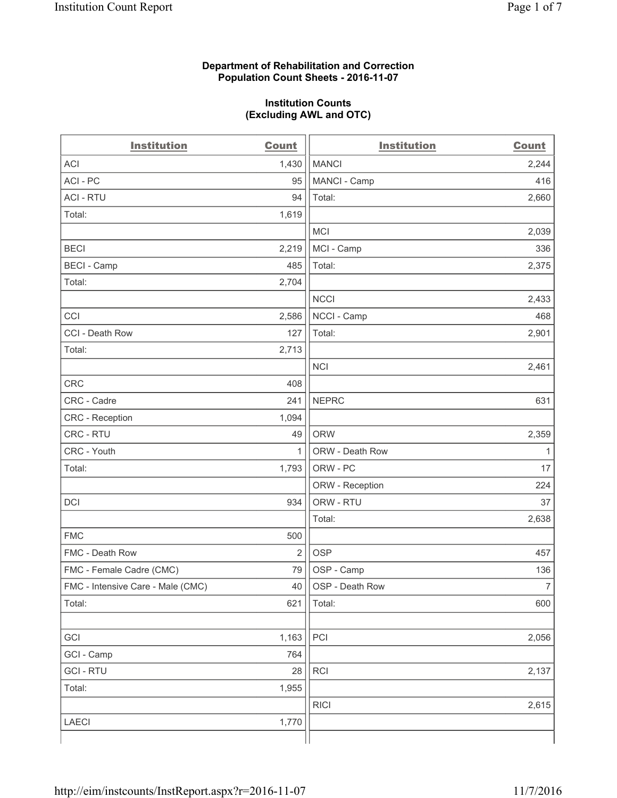#### **Department of Rehabilitation and Correction Population Count Sheets - 2016-11-07**

#### **Institution Counts (Excluding AWL and OTC)**

| <b>Institution</b>                | <b>Count</b>   | <b>Institution</b> | <b>Count</b>   |
|-----------------------------------|----------------|--------------------|----------------|
| <b>ACI</b>                        | 1,430          | <b>MANCI</b>       | 2,244          |
| ACI - PC                          | 95             | MANCI - Camp       | 416            |
| <b>ACI - RTU</b>                  | 94             | Total:             | 2,660          |
| Total:                            | 1,619          |                    |                |
|                                   |                | <b>MCI</b>         | 2,039          |
| <b>BECI</b>                       | 2,219          | MCI - Camp         | 336            |
| <b>BECI</b> - Camp                | 485            | Total:             | 2,375          |
| Total:                            | 2,704          |                    |                |
|                                   |                | <b>NCCI</b>        | 2,433          |
| CCI                               | 2,586          | NCCI - Camp        | 468            |
| CCI - Death Row                   | 127            | Total:             | 2,901          |
| Total:                            | 2,713          |                    |                |
|                                   |                | <b>NCI</b>         | 2,461          |
| <b>CRC</b>                        | 408            |                    |                |
| CRC - Cadre                       | 241            | <b>NEPRC</b>       | 631            |
| <b>CRC</b> - Reception            | 1,094          |                    |                |
| CRC - RTU                         | 49             | <b>ORW</b>         | 2,359          |
| CRC - Youth                       | $\mathbf{1}$   | ORW - Death Row    | 1              |
| Total:                            | 1,793          | ORW - PC           | 17             |
|                                   |                | ORW - Reception    | 224            |
| DCI                               | 934            | ORW - RTU          | 37             |
|                                   |                | Total:             | 2,638          |
| <b>FMC</b>                        | 500            |                    |                |
| FMC - Death Row                   | $\overline{2}$ | <b>OSP</b>         | 457            |
| FMC - Female Cadre (CMC)          | 79             | OSP - Camp         | 136            |
| FMC - Intensive Care - Male (CMC) | 40             | OSP - Death Row    | $\overline{7}$ |
| Total:                            | 621            | Total:             | 600            |
|                                   |                |                    |                |
| GCI                               | 1,163          | PCI                | 2,056          |
| GCI - Camp                        | 764            |                    |                |
| <b>GCI - RTU</b>                  | 28             | RCI                | 2,137          |
| Total:                            | 1,955          |                    |                |
|                                   |                | <b>RICI</b>        | 2,615          |
| LAECI                             | 1,770          |                    |                |
|                                   |                |                    |                |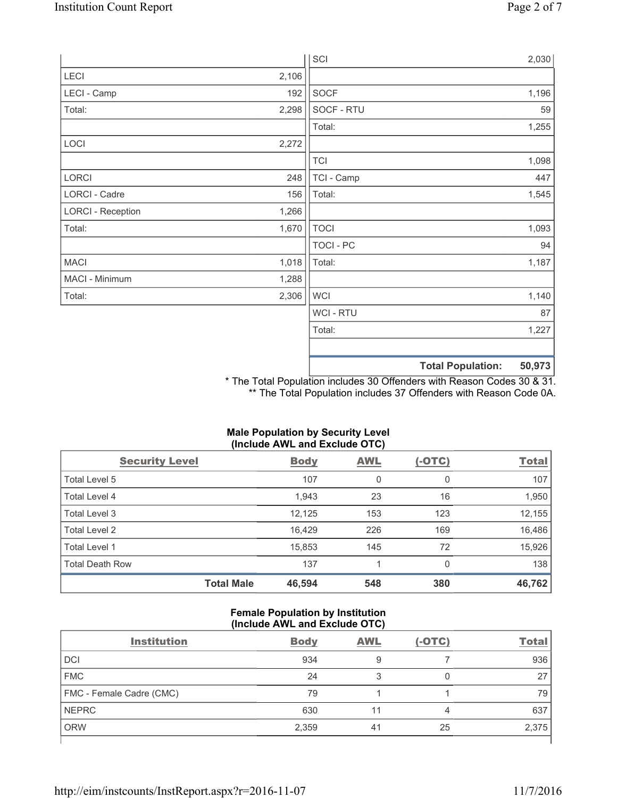|                          |       | SCI            |                          | 2,030  |
|--------------------------|-------|----------------|--------------------------|--------|
| LECI                     | 2,106 |                |                          |        |
| LECI - Camp              | 192   | SOCF           |                          | 1,196  |
| Total:                   | 2,298 | SOCF - RTU     |                          | 59     |
|                          |       | Total:         |                          | 1,255  |
| LOCI                     | 2,272 |                |                          |        |
|                          |       | <b>TCI</b>     |                          | 1,098  |
| LORCI                    | 248   | TCI - Camp     |                          | 447    |
| LORCI - Cadre            | 156   | Total:         |                          | 1,545  |
| <b>LORCI - Reception</b> | 1,266 |                |                          |        |
| Total:                   | 1,670 | <b>TOCI</b>    |                          | 1,093  |
|                          |       | TOCI - PC      |                          | 94     |
| <b>MACI</b>              | 1,018 | Total:         |                          | 1,187  |
| MACI - Minimum           | 1,288 |                |                          |        |
| Total:                   | 2,306 | <b>WCI</b>     |                          | 1,140  |
|                          |       | <b>WCI-RTU</b> |                          | 87     |
|                          |       | Total:         |                          | 1,227  |
|                          |       |                |                          |        |
|                          |       |                | <b>Total Population:</b> | 50,973 |

\* The Total Population includes 30 Offenders with Reason Codes 30 & 31. \*\* The Total Population includes 37 Offenders with Reason Code 0A.

# **Male Population by Security Level (Include AWL and Exclude OTC)**

| <b>Security Level</b>  |                   | <b>Body</b> | <b>AWL</b> | $(-OTC)$ | <b>Total</b> |
|------------------------|-------------------|-------------|------------|----------|--------------|
| Total Level 5          |                   | 107         | 0          | 0        | 107          |
| Total Level 4          |                   | 1,943       | 23         | 16       | 1,950        |
| Total Level 3          |                   | 12,125      | 153        | 123      | 12,155       |
| Total Level 2          |                   | 16,429      | 226        | 169      | 16,486       |
| Total Level 1          |                   | 15,853      | 145        | 72       | 15,926       |
| <b>Total Death Row</b> |                   | 137         | 4          | 0        | 138          |
|                        | <b>Total Male</b> | 46,594      | 548        | 380      | 46,762       |

#### **Female Population by Institution (Include AWL and Exclude OTC)**

| <b>Institution</b>       | <b>Body</b> | <b>AWL</b> | $(-OTC)$ | <b>Total</b> |
|--------------------------|-------------|------------|----------|--------------|
| <b>DCI</b>               | 934         | 9          |          | 936          |
| <b>FMC</b>               | 24          | 3          |          | 27           |
| FMC - Female Cadre (CMC) | 79          |            |          | 79           |
| <b>NEPRC</b>             | 630         |            | 4        | 637          |
| <b>ORW</b>               | 2,359       | 41         | 25       | 2,375        |
|                          |             |            |          |              |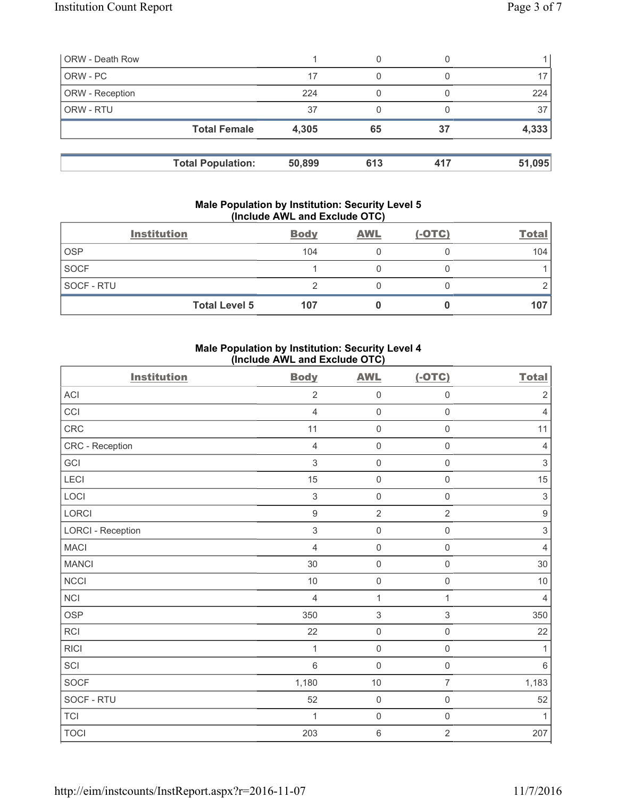| <b>ORW - Death Row</b> |                          |        |     |     |        |
|------------------------|--------------------------|--------|-----|-----|--------|
| ORW - PC               |                          | 17     |     |     | 17     |
| ORW - Reception        |                          | 224    |     |     | 224    |
| ORW - RTU              |                          | 37     | 0   |     | 37     |
|                        | <b>Total Female</b>      | 4,305  | 65  | 37  | 4,333  |
|                        | <b>Total Population:</b> | 50,899 | 613 | 417 | 51,095 |

#### **Male Population by Institution: Security Level 5 (Include AWL and Exclude OTC)**

|             | <b>Institution</b>   | <b>Body</b> | <b>AWL</b> | $(-OTC)$ | <b>Total</b> |
|-------------|----------------------|-------------|------------|----------|--------------|
| <b>OSP</b>  |                      | 104         |            |          | 104          |
| <b>SOCF</b> |                      |             |            |          |              |
| SOCF - RTU  |                      |             |            |          |              |
|             | <b>Total Level 5</b> | 107         |            |          | 107          |

## **Male Population by Institution: Security Level 4 (Include AWL and Exclude OTC)**

| <b>Institution</b>       | <b>Body</b>    | <b>AWL</b>                | $(-OTC)$            | <b>Total</b>              |
|--------------------------|----------------|---------------------------|---------------------|---------------------------|
| <b>ACI</b>               | $\overline{2}$ | $\mathsf{O}\xspace$       | $\mathsf{O}\xspace$ | $\sqrt{2}$                |
| CCI                      | $\overline{4}$ | $\mathsf{O}\xspace$       | $\mathsf{O}\xspace$ | $\overline{4}$            |
| CRC                      | 11             | $\mathsf{O}\xspace$       | $\mathsf{O}\xspace$ | 11                        |
| CRC - Reception          | $\overline{4}$ | $\mathsf{O}\xspace$       | $\mathbf 0$         | 4                         |
| GCI                      | 3              | $\mathsf{O}\xspace$       | $\mathsf{O}\xspace$ | $\mathsf 3$               |
| LECI                     | 15             | $\mathsf{O}\xspace$       | $\mathsf 0$         | $15\,$                    |
| LOCI                     | $\mathsf 3$    | $\mathsf{O}\xspace$       | $\mathsf{O}\xspace$ | $\ensuremath{\mathsf{3}}$ |
| LORCI                    | $\mathsf g$    | $\overline{2}$            | $\overline{2}$      | $\boldsymbol{9}$          |
| <b>LORCI - Reception</b> | $\mathsf 3$    | $\mathsf{O}\xspace$       | $\mathsf{O}\xspace$ | $\ensuremath{\mathsf{3}}$ |
| <b>MACI</b>              | $\overline{4}$ | $\mathsf{O}\xspace$       | $\mathsf{O}\xspace$ | $\overline{4}$            |
| <b>MANCI</b>             | 30             | $\mathsf{O}\xspace$       | $\mathbf 0$         | 30                        |
| <b>NCCI</b>              | $10$           | $\mathsf{O}\xspace$       | $\mathsf{O}\xspace$ | $10$                      |
| <b>NCI</b>               | $\overline{4}$ | $\mathbf 1$               | $\mathbf{1}$        | 4                         |
| <b>OSP</b>               | 350            | $\ensuremath{\mathsf{3}}$ | 3                   | 350                       |
| <b>RCI</b>               | 22             | $\mathsf{O}\xspace$       | $\mathsf{O}\xspace$ | 22                        |
| <b>RICI</b>              | 1              | $\mathsf{O}\xspace$       | $\mathsf{O}\xspace$ | 1                         |
| SCI                      | $\,$ 6 $\,$    | $\mathsf{O}\xspace$       | $\mathsf 0$         | 6                         |
| SOCF                     | 1,180          | $10$                      | $\overline{7}$      | 1,183                     |
| SOCF - RTU               | 52             | $\mathsf 0$               | $\mathbf 0$         | 52                        |
| <b>TCI</b>               | 1              | $\mathsf{O}\xspace$       | $\mathsf 0$         | 1                         |
| <b>TOCI</b>              | 203            | 6                         | $\overline{2}$      | 207                       |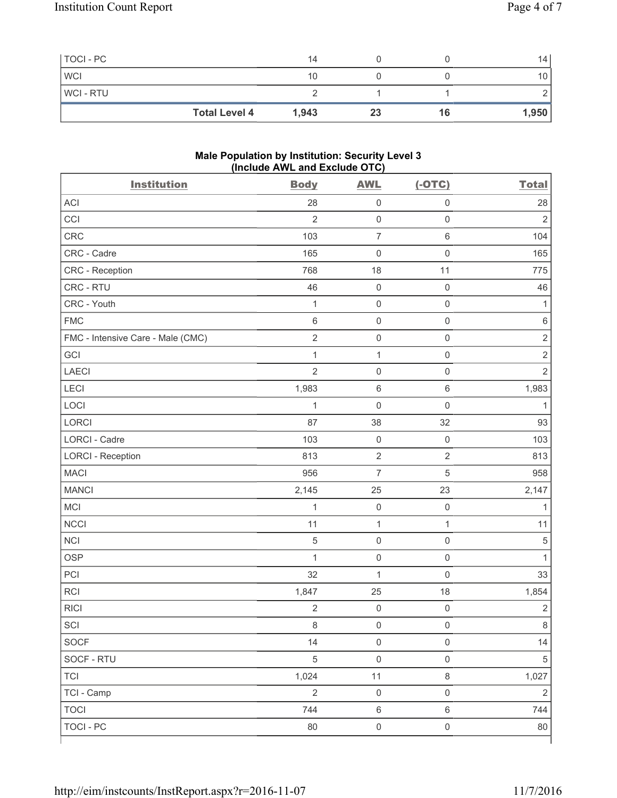| TOCI - PC      |                      | 14    |    |    | 14 <sup>°</sup> |
|----------------|----------------------|-------|----|----|-----------------|
| <b>WCI</b>     |                      | 10    |    |    | 10              |
| <b>WCI-RTU</b> |                      |       |    |    |                 |
|                | <b>Total Level 4</b> | 1,943 | 23 | 16 | 1,950           |

#### **Male Population by Institution: Security Level 3 (Include AWL and Exclude OTC)**

| <b>Institution</b>                | <b>Body</b>    | <b>AWL</b>          | $(-OTC)$            | <b>Total</b>   |
|-----------------------------------|----------------|---------------------|---------------------|----------------|
| <b>ACI</b>                        | 28             | $\mathbf 0$         | $\mathsf 0$         | 28             |
| CCI                               | $\overline{2}$ | $\mathsf{O}\xspace$ | $\mathsf 0$         | $\overline{2}$ |
| <b>CRC</b>                        | 103            | $\overline{7}$      | $\,6\,$             | 104            |
| CRC - Cadre                       | 165            | $\mathbf 0$         | $\mathsf 0$         | 165            |
| CRC - Reception                   | 768            | 18                  | 11                  | 775            |
| CRC - RTU                         | 46             | $\mathsf{O}\xspace$ | $\mathsf 0$         | 46             |
| CRC - Youth                       | $\mathbf{1}$   | $\mathsf{O}\xspace$ | $\mathsf 0$         | $\mathbf{1}$   |
| <b>FMC</b>                        | $\,6\,$        | $\mathsf{O}\xspace$ | $\mathsf 0$         | $\,6$          |
| FMC - Intensive Care - Male (CMC) | $\overline{2}$ | $\mathsf{O}\xspace$ | $\mathsf 0$         | $\mathbf 2$    |
| GCI                               | $\mathbf{1}$   | $\mathbf{1}$        | $\mathsf{O}\xspace$ | $\mathbf 2$    |
| <b>LAECI</b>                      | $\overline{2}$ | $\mathsf{O}\xspace$ | $\mathsf 0$         | $\overline{2}$ |
| <b>LECI</b>                       | 1,983          | $\,6\,$             | $\,6\,$             | 1,983          |
| LOCI                              | $\mathbf{1}$   | $\mathsf{O}\xspace$ | $\mathsf 0$         | 1              |
| LORCI                             | 87             | 38                  | 32                  | 93             |
| <b>LORCI - Cadre</b>              | 103            | $\mathsf 0$         | $\mathsf{O}\xspace$ | 103            |
| <b>LORCI - Reception</b>          | 813            | $\sqrt{2}$          | $\sqrt{2}$          | 813            |
| <b>MACI</b>                       | 956            | $\overline{7}$      | $\sqrt{5}$          | 958            |
| <b>MANCI</b>                      | 2,145          | 25                  | 23                  | 2,147          |
| MCI                               | $\mathbf{1}$   | $\mathbf 0$         | $\mathsf 0$         | 1              |
| <b>NCCI</b>                       | 11             | $\mathbf{1}$        | $\mathbf{1}$        | 11             |
| <b>NCI</b>                        | 5              | $\mathsf{O}\xspace$ | $\mathsf{O}\xspace$ | $\sqrt{5}$     |
| <b>OSP</b>                        | $\mathbf{1}$   | $\mathsf{O}\xspace$ | $\mathsf{O}\xspace$ | $\mathbf{1}$   |
| PCI                               | 32             | $\mathbf{1}$        | $\mathsf 0$         | 33             |
| <b>RCI</b>                        | 1,847          | 25                  | 18                  | 1,854          |
| <b>RICI</b>                       | $\sqrt{2}$     | $\mathsf{O}\xspace$ | $\mathsf{O}\xspace$ | $\sqrt{2}$     |
| SCI                               | $\,8\,$        | $\mathsf{O}\xspace$ | $\mathsf 0$         | 8              |
| SOCF                              | 14             | $\mathbf 0$         | $\mathsf 0$         | 14             |
| SOCF - RTU                        | $\sqrt{5}$     | $\mathsf{O}\xspace$ | $\mathsf{O}\xspace$ | $\sqrt{5}$     |
| <b>TCI</b>                        | 1,024          | 11                  | $\,8\,$             | 1,027          |
| TCI - Camp                        | $\overline{2}$ | $\mathbf 0$         | $\mathsf 0$         | $\overline{2}$ |
| <b>TOCI</b>                       | 744            | $\,6\,$             | $\,6\,$             | 744            |
| <b>TOCI - PC</b>                  | 80             | $\mathsf{O}\xspace$ | $\mathsf{O}\xspace$ | 80             |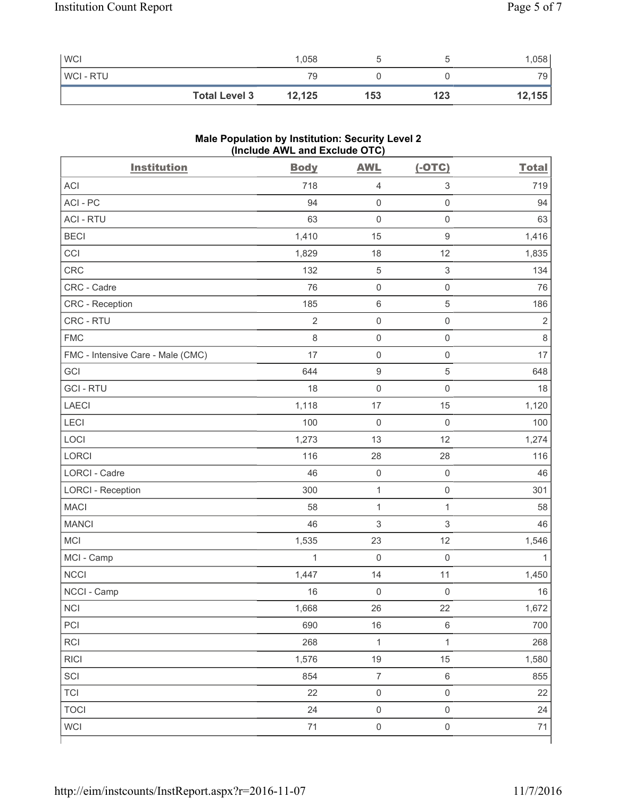| <b>WCI</b>     |                      | 1,058  |     |     | .058            |
|----------------|----------------------|--------|-----|-----|-----------------|
| <b>WCI-RTU</b> |                      | 79     |     |     | 79 <sub>1</sub> |
|                | <b>Total Level 3</b> | 12,125 | 153 | 123 | 12,155          |

# **Male Population by Institution: Security Level 2 (Include AWL and Exclude OTC)**

| <b>Institution</b>                | <b>Body</b>    | <b>AWL</b>          | $(-OTC)$            | <b>Total</b>   |
|-----------------------------------|----------------|---------------------|---------------------|----------------|
| <b>ACI</b>                        | 718            | $\overline{4}$      | $\mathsf 3$         | 719            |
| ACI-PC                            | 94             | $\mathsf{O}\xspace$ | $\mathsf{O}\xspace$ | 94             |
| <b>ACI - RTU</b>                  | 63             | $\mathbf 0$         | $\mathsf{O}\xspace$ | 63             |
| <b>BECI</b>                       | 1,410          | 15                  | $\mathsf g$         | 1,416          |
| CCI                               | 1,829          | 18                  | 12                  | 1,835          |
| <b>CRC</b>                        | 132            | $\,$ 5 $\,$         | $\mathfrak{S}$      | 134            |
| CRC - Cadre                       | 76             | $\mathsf{O}\xspace$ | $\mathsf{O}\xspace$ | 76             |
| CRC - Reception                   | 185            | $\,6\,$             | $\sqrt{5}$          | 186            |
| CRC - RTU                         | $\overline{2}$ | $\mathsf{O}\xspace$ | $\mathsf{O}\xspace$ | $\overline{2}$ |
| <b>FMC</b>                        | 8              | $\mathsf 0$         | $\mathsf{O}\xspace$ | $\,8\,$        |
| FMC - Intensive Care - Male (CMC) | 17             | $\mathsf{O}\xspace$ | $\mathsf 0$         | 17             |
| GCI                               | 644            | $\boldsymbol{9}$    | $\,$ 5 $\,$         | 648            |
| <b>GCI-RTU</b>                    | 18             | $\mathsf{O}\xspace$ | $\mathsf 0$         | 18             |
| <b>LAECI</b>                      | 1,118          | 17                  | 15                  | 1,120          |
| LECI                              | 100            | $\mathbf 0$         | $\mathsf 0$         | 100            |
| LOCI                              | 1,273          | 13                  | 12                  | 1,274          |
| LORCI                             | 116            | 28                  | 28                  | 116            |
| LORCI - Cadre                     | 46             | $\mathsf{O}\xspace$ | $\mathsf 0$         | 46             |
| <b>LORCI - Reception</b>          | 300            | $\mathbf 1$         | $\mathsf 0$         | 301            |
| <b>MACI</b>                       | 58             | $\mathbf{1}$        | $\mathbf{1}$        | 58             |
| <b>MANCI</b>                      | 46             | $\sqrt{3}$          | $\mathsf 3$         | 46             |
| MCI                               | 1,535          | 23                  | 12                  | 1,546          |
| MCI - Camp                        | $\mathbf{1}$   | $\mathbf 0$         | $\mathbf 0$         | $\mathbf{1}$   |
| <b>NCCI</b>                       | 1,447          | 14                  | 11                  | 1,450          |
| NCCI - Camp                       | 16             | $\mathsf{O}\xspace$ | $\mathbf 0$         | 16             |
| NCI                               | 1,668          | 26                  | 22                  | 1,672          |
| PCI                               | 690            | 16                  | $\,6\,$             | 700            |
| RCI                               | 268            | $\mathbf{1}$        | $\mathbf{1}$        | 268            |
| <b>RICI</b>                       | 1,576          | 19                  | 15                  | 1,580          |
| SCI                               | 854            | $\overline{7}$      | $\,6\,$             | 855            |
| <b>TCI</b>                        | 22             | $\mathsf{O}\xspace$ | $\mathsf 0$         | 22             |
| <b>TOCI</b>                       | 24             | $\mathsf{O}\xspace$ | $\mathsf{O}\xspace$ | 24             |
| <b>WCI</b>                        | $71$           | $\mathsf{O}\xspace$ | $\mathsf 0$         | $71$           |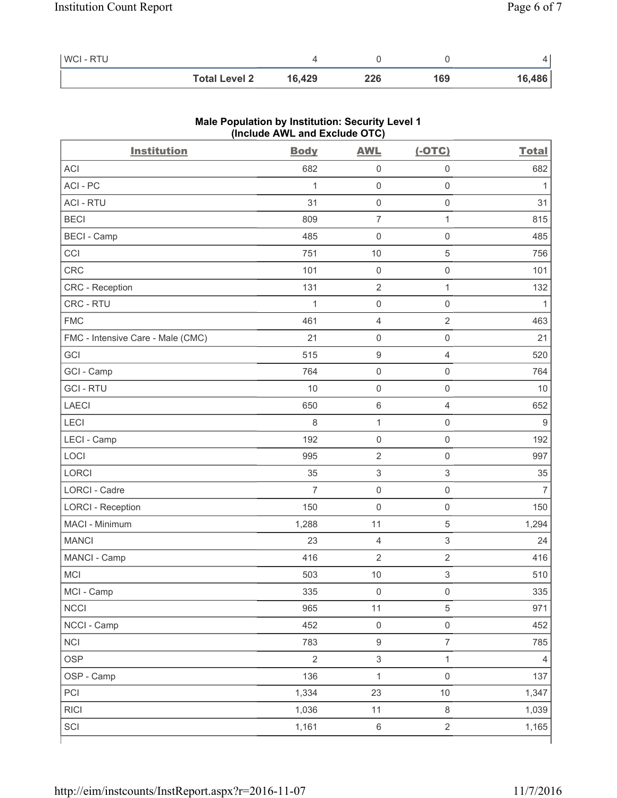| <b>WCI-RTU</b> |                      |        |     |     |        |
|----------------|----------------------|--------|-----|-----|--------|
|                | <b>Total Level 2</b> | 16.429 | 226 | 169 | 16,486 |

| <b>Institution</b>                | (include AVIL and Exclude OTO)<br><b>Body</b> | <b>AWL</b>                | $(-OTC)$            | <b>Total</b>   |
|-----------------------------------|-----------------------------------------------|---------------------------|---------------------|----------------|
| <b>ACI</b>                        | 682                                           | $\mathsf{O}\xspace$       | $\mathsf{O}\xspace$ | 682            |
| ACI - PC                          | 1                                             | $\mathsf{O}\xspace$       | $\mathsf{O}\xspace$ | 1              |
| <b>ACI - RTU</b>                  | 31                                            | $\mathsf{O}\xspace$       | $\mathsf{O}\xspace$ | 31             |
| <b>BECI</b>                       | 809                                           | $\overline{7}$            | $\mathbf{1}$        | 815            |
|                                   |                                               |                           |                     |                |
| <b>BECI</b> - Camp                | 485                                           | $\mathsf{O}\xspace$       | $\mathsf{O}\xspace$ | 485            |
| CCI                               | 751                                           | 10                        | 5                   | 756            |
| <b>CRC</b>                        | 101                                           | $\mathsf{O}\xspace$       | $\mathsf{O}\xspace$ | 101            |
| CRC - Reception                   | 131                                           | $\sqrt{2}$                | $\mathbf{1}$        | 132            |
| CRC - RTU                         | 1                                             | $\mathsf{O}\xspace$       | $\mathsf 0$         | $\mathbf{1}$   |
| <b>FMC</b>                        | 461                                           | $\overline{4}$            | $\overline{2}$      | 463            |
| FMC - Intensive Care - Male (CMC) | 21                                            | $\mathsf{O}\xspace$       | $\mathsf{O}\xspace$ | 21             |
| GCI                               | 515                                           | $\hbox{9}$                | $\overline{4}$      | 520            |
| GCI - Camp                        | 764                                           | $\mathsf{O}\xspace$       | $\mathsf{O}\xspace$ | 764            |
| <b>GCI-RTU</b>                    | 10                                            | $\mathsf{O}\xspace$       | $\mathsf 0$         | 10             |
| <b>LAECI</b>                      | 650                                           | $\,6$                     | $\overline{4}$      | 652            |
| LECI                              | 8                                             | 1                         | $\mathsf{O}\xspace$ | $9\,$          |
| LECI - Camp                       | 192                                           | $\mathsf{O}\xspace$       | $\mathsf 0$         | 192            |
| LOCI                              | 995                                           | $\mathbf 2$               | $\mathsf{O}\xspace$ | 997            |
| LORCI                             | 35                                            | $\ensuremath{\mathsf{3}}$ | $\mathsf 3$         | 35             |
| LORCI - Cadre                     | $\overline{7}$                                | $\mathsf{O}\xspace$       | $\mathsf 0$         | $\overline{7}$ |
| <b>LORCI - Reception</b>          | 150                                           | $\mathsf{O}\xspace$       | $\mathsf{O}\xspace$ | 150            |
| MACI - Minimum                    | 1,288                                         | 11                        | 5                   | 1,294          |
| <b>MANCI</b>                      | 23                                            | 4                         | $\,$ 3 $\,$         | 24             |
| MANCI - Camp                      | 416                                           | $\overline{2}$            | $\sqrt{2}$          | 416            |
| MCI                               | 503                                           | 10                        | 3                   | 510            |
| MCI - Camp                        | 335                                           | $\mathsf{O}\xspace$       | $\mathsf{O}\xspace$ | 335            |
| <b>NCCI</b>                       | 965                                           | 11                        | 5                   | 971            |
| NCCI - Camp                       | 452                                           | $\mathsf 0$               | $\mathsf{O}\xspace$ | 452            |
| <b>NCI</b>                        | 783                                           | $\boldsymbol{9}$          | $\overline{7}$      | 785            |
| <b>OSP</b>                        | $\overline{2}$                                | $\mathsf 3$               | $\mathbf{1}$        | $\overline{4}$ |
| OSP - Camp                        | 136                                           | $\mathbf 1$               | $\mathsf{O}\xspace$ | 137            |
| PCI                               | 1,334                                         | 23                        | $10$                | 1,347          |
| <b>RICI</b>                       | 1,036                                         | 11                        | $\,8\,$             | 1,039          |
| SCI                               | 1,161                                         | $\,6\,$                   | $\overline{2}$      | 1,165          |
|                                   |                                               |                           |                     |                |

## **Male Population by Institution: Security Level 1 (Include AWL and Exclude OTC)**

٦